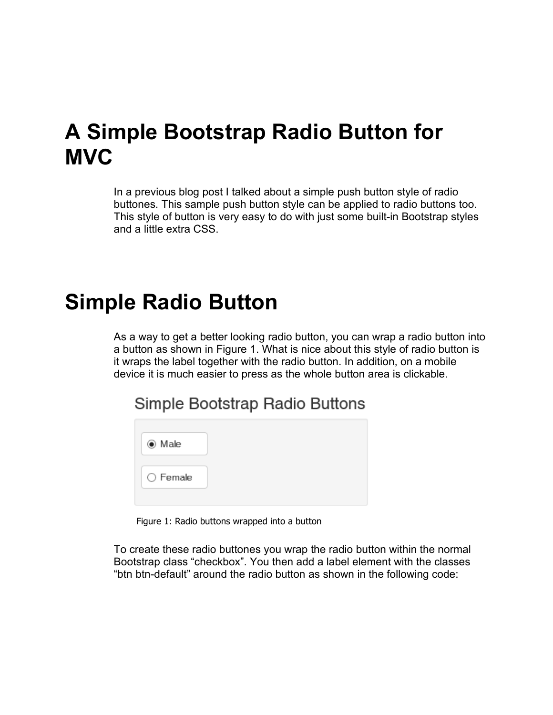## **A Simple Bootstrap Radio Button for MVC**

In a previous blog post I talked about a simple push button style of radio buttones. This sample push button style can be applied to radio buttons too. This style of button is very easy to do with just some built-in Bootstrap styles and a little extra CSS.

## **Simple Radio Button**

As a way to get a better looking radio button, you can wrap a radio button into a button as shown in Figure 1. What is nice about this style of radio button is it wraps the label together with the radio button. In addition, on a mobile device it is much easier to press as the whole button area is clickable.

Simple Bootstrap Radio Buttons

Figure 1: Radio buttons wrapped into a button

To create these radio buttones you wrap the radio button within the normal Bootstrap class "checkbox". You then add a label element with the classes "btn btn-default" around the radio button as shown in the following code: